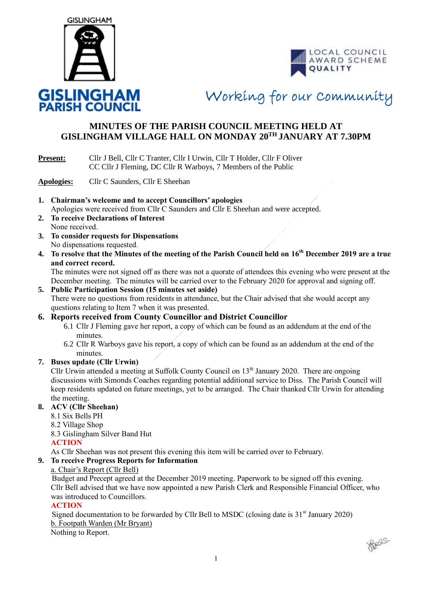



Working for our Community

## **MINUTES OF THE PARISH COUNCIL MEETING HELD AT GISLINGHAM VILLAGE HALL ON MONDAY 20TH JANUARY AT 7.30PM**

#### **Present:** Cllr J Bell, Cllr C Tranter, Cllr I Urwin, Cllr T Holder, Cllr F Oliver CC Cllr J Fleming, DC Cllr R Warboys, 7 Members of the Public

**Apologies:** Cllr C Saunders, Cllr E Sheehan

- **1. Chairman's welcome and to accept Councillors' apologies** Apologies were received from Cllr C Saunders and Cllr E Sheehan and were accepted.
- **2. To receive Declarations of Interest** None received.
- **3. To consider requests for Dispensations** No dispensations requested.
- **4. To resolve that the Minutes of the meeting of the Parish Council held on 16th December 2019 are a true and correct record.**

The minutes were not signed off as there was not a quorate of attendees this evening who were present at the December meeting. The minutes will be carried over to the February 2020 for approval and signing off.

#### **5. Public Participation Session (15 minutes set aside)**

There were no questions from residents in attendance, but the Chair advised that she would accept any questions relating to Item 7 when it was presented.

#### **6. Reports received from County Councillor and District Councillor**

- 6.1 Cllr J Fleming gave her report, a copy of which can be found as an addendum at the end of the minutes.
- 6.2 Cllr R Warboys gave his report, a copy of which can be found as an addendum at the end of the minutes.

#### **7. Buses update (Cllr Urwin)**

Cllr Urwin attended a meeting at Suffolk County Council on 13<sup>th</sup> January 2020. There are ongoing discussions with Simonds Coaches regarding potential additional service to Diss. The Parish Council will keep residents updated on future meetings, yet to be arranged. The Chair thanked Cllr Urwin for attending the meeting.

#### **8. ACV (Cllr Sheehan)**

- 8.1 Six Bells PH
- 8.2 Village Shop

8.3 Gislingham Silver Band Hut

#### **ACTION**

As Cllr Sheehan was not present this evening this item will be carried over to February.

#### **9. To receive Progress Reports for Information**

#### a. Chair's Report (Cllr Bell)

 Budget and Precept agreed at the December 2019 meeting. Paperwork to be signed off this evening. Cllr Bell advised that we have now appointed a new Parish Clerk and Responsible Financial Officer, who was introduced to Councillors.

#### **ACTION**

Signed documentation to be forwarded by Cllr Bell to MSDC (closing date is  $31<sup>st</sup>$  January 2020) b. Footpath Warden (Mr Bryant)

Nothing to Report.

Belge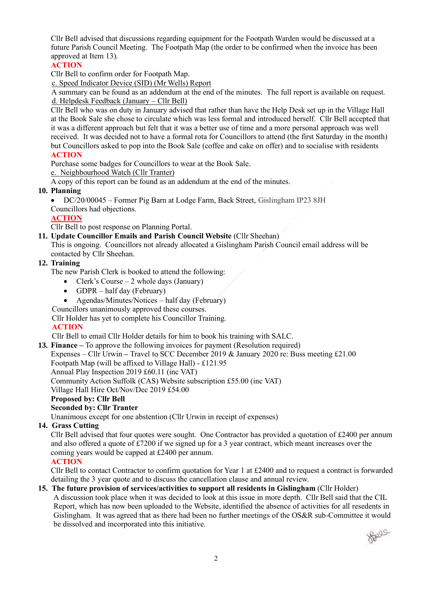Cllr Bell advised that discussions regarding equipment for the Footpath Warden would be discussed at a future Parish Council Meeting. The Footpath Map (the order to be confirmed when the invoice has been approved at Item 13).

#### **ACTION**

Cllr Bell to confirm order for Footpath Map.

c. Speed Indicator Device (SID) (Mr Wells) Report

 A summary can be found as an addendum at the end of the minutes. The full report is available on request. d. Helpdesk Feedback (January – Cllr Bell)

Cllr Bell who was on duty in January advised that rather than have the Help Desk set up in the Village Hall at the Book Sale she chose to circulate which was less formal and introduced herself. Cllr Bell accepted that it was a different approach but felt that it was a better use of time and a more personal approach was well received. It was decided not to have a formal rota for Councillors to attend (the first Saturday in the month) but Councillors asked to pop into the Book Sale (coffee and cake on offer) and to socialise with residents **ACTION**

Purchase some badges for Councillors to wear at the Book Sale.

e. Neighbourhood Watch (Cllr Tranter)

A copy of this report can be found as an addendum at the end of the minutes.

#### **10. Planning**

• DC/20/00045 – Former Pig Barn at Lodge Farm, Back Street, Gislingham IP23 8JH

Councillors had objections.

#### **ACTION**

Cllr Bell to post response on Planning Portal.

**11. Update Councillor Emails and Parish Council Website** (Cllr Sheehan)

This is ongoing. Councillors not already allocated a Gislingham Parish Council email address will be contacted by Cllr Sheehan.

#### **12. Training**

The new Parish Clerk is booked to attend the following:

- Clerk's Course  $-2$  whole days (January)
- GDPR half day (February)
- Agendas/Minutes/Notices half day (February)

Councillors unanimously approved these courses.

Cllr Holder has yet to complete his Councillor Training.

#### **ACTION**

Cllr Bell to email Cllr Holder details for him to book his training with SALC.

**13. Finance –** To approve the following invoices for payment (Resolution required)

Expenses – Cllr Urwin **–** Travel to SCC December 2019 & January 2020 re: Buss meeting £21.00

Footpath Map (will be affixed to Village Hall) - £121.95

Annual Play Inspection 2019 £60.11 (inc VAT)

Community Action Suffolk (CAS) Website subscription £55.00 (inc VAT)

Village Hall Hire Oct/Nov/Dec 2019 £54.00

#### **Proposed by: Cllr Bell**

#### **Seconded by: Cllr Tranter**

Unanimous except for one abstention (Cllr Urwin in receipt of expenses)

#### **14. Grass Cutting**

Cllr Bell advised that four quotes were sought. One Contractor has provided a quotation of £2400 per annum and also offered a quote of £7200 if we signed up for a 3 year contract, which meant increases over the coming years would be capped at £2400 per annum.

#### **ACTION**

Cllr Bell to contact Contractor to confirm quotation for Year 1 at £2400 and to request a contract is forwarded detailing the 3 year quote and to discuss the cancellation clause and annual review.

#### **15. The future provision of services/activities to support all residents in Gislingham** (Cllr Holder)

A discussion took place when it was decided to look at this issue in more depth. Cllr Bell said that the CIL Report, which has now been uploaded to the Website, identified the absence of activities for all resedents in Gislingham. It was agreed that as there had been no further meetings of the OS&R sub-Committee it would be dissolved and incorporated into this initiative.

**Reago**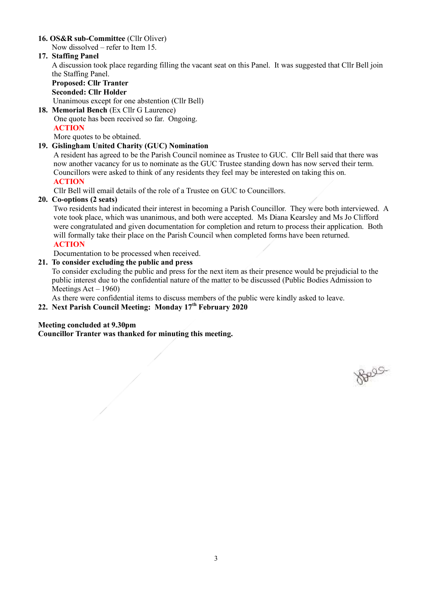#### **16. OS&R sub-Committee** (Cllr Oliver)

Now dissolved – refer to Item 15.

#### **17. Staffing Panel**

A discussion took place regarding filling the vacant seat on this Panel. It was suggested that Cllr Bell join the Staffing Panel.

## **Proposed: Cllr Tranter Seconded: Cllr Holder**

Unanimous except for one abstention (Cllr Bell) **18. Memorial Bench** (Ex Cllr G Laurence)

 One quote has been received so far. Ongoing. **ACTION**

More quotes to be obtained.

#### **19. Gislingham United Charity (GUC) Nomination**

A resident has agreed to be the Parish Council nominee as Trustee to GUC. Cllr Bell said that there was now another vacancy for us to nominate as the GUC Trustee standing down has now served their term. Councillors were asked to think of any residents they feel may be interested on taking this on.  **ACTION**

Cllr Bell will email details of the role of a Trustee on GUC to Councillors.

#### **20. Co-options (2 seats)**

Two residents had indicated their interest in becoming a Parish Councillor. They were both interviewed. A vote took place, which was unanimous, and both were accepted. Ms Diana Kearsley and Ms Jo Clifford were congratulated and given documentation for completion and return to process their application. Both will formally take their place on the Parish Council when completed forms have been returned. **ACTION**

Documentation to be processed when received.

#### **21. To consider excluding the public and press**

To consider excluding the public and press for the next item as their presence would be prejudicial to the public interest due to the confidential nature of the matter to be discussed (Public Bodies Admission to Meetings  $Act - 1960$ 

As there were confidential items to discuss members of the public were kindly asked to leave.

#### **22. Next Parish Council Meeting: Monday 17th February 2020**

#### **Meeting concluded at 9.30pm**

**Councillor Tranter was thanked for minuting this meeting.**

Reas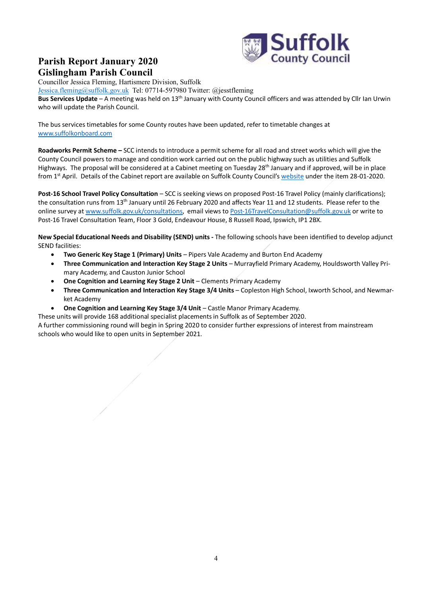

## **Parish Report January 2020 Gislingham Parish Council**

Councillor Jessica Fleming, Hartismere Division, Suffolk [Jessica.fleming@suffolk.gov.uk](mailto:Jessica.fleming@suffolk.gov.uk) Tel: 07714-597980 Twitter: @jesstfleming **Bus Services Update** – A meeting was held on 13th January with County Council officers and was attended by Cllr Ian Urwin who will update the Parish Council.

The bus services timetables for some County routes have been updated, refer to timetable changes at [www.suffolkonboard.com](https://www.suffolkonboard.com/buses/bus-timetable-updates/)

**Roadworks Permit Scheme –** SCC intends to introduce a permit scheme for all road and street works which will give the County Council powers to manage and condition work carried out on the public highway such as utilities and Suffolk Highways. The proposal will be considered at a Cabinet meeting on Tuesday 28<sup>th</sup> January and if approved, will be in place from 1<sup>st</sup> April. Details of the Cabinet report are available on Suffolk County Council's [website](https://committeeminutes.suffolk.gov.uk/HomePage.aspx) under the item 28-01-2020.

**Post-16 School Travel Policy Consultation** – SCC is seeking views on proposed Post-16 Travel Policy (mainly clarifications); the consultation runs from 13<sup>th</sup> January until 26 February 2020 and affects Year 11 and 12 students. Please refer to the online survey a[t www.suffolk.gov.uk/consultations,](http://www.suffolk.gov.uk/consultations) email views to [Post-16TravelConsultation@suffolk.gov.uk](mailto:Post-16TravelConsultation@suffolk.gov.uk) or write to Post-16 Travel Consultation Team, Floor 3 Gold, Endeavour House, 8 Russell Road, Ipswich, IP1 2BX.

**New Special Educational Needs and Disability (SEND) units -** The following schools have been identified to develop adjunct SEND facilities:

- **Two Generic Key Stage 1 (Primary) Units** Pipers Vale Academy and Burton End Academy
- **Three Communication and Interaction Key Stage 2 Units** Murrayfield Primary Academy, Houldsworth Valley Primary Academy, and Causton Junior School
- **One Cognition and Learning Key Stage 2 Unit** Clements Primary Academy
- **Three Communication and Interaction Key Stage 3/4 Units** Copleston High School, Ixworth School, and Newmarket Academy
- **One Cognition and Learning Key Stage 3/4 Unit** Castle Manor Primary Academy.

These units will provide 168 additional specialist placements in Suffolk as of September 2020.

A further commissioning round will begin in Spring 2020 to consider further expressions of interest from mainstream schools who would like to open units in September 2021.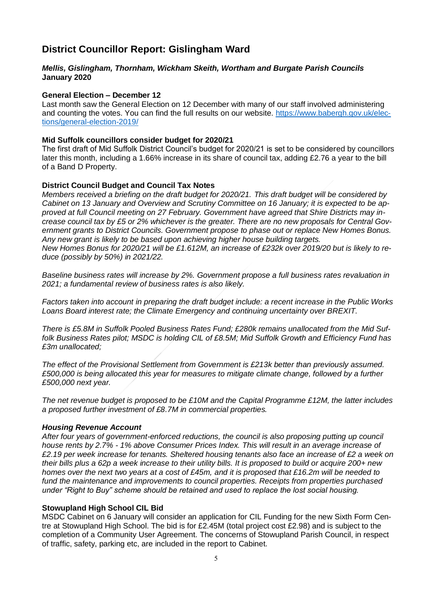### **District Councillor Report: Gislingham Ward**

#### *Mellis, Gislingham, Thornham, Wickham Skeith, Wortham and Burgate Parish Councils*  **January 2020**

#### **General Election – December 12**

Last month saw the General Election on 12 December with many of our staff involved administering and counting the votes. You can find the full results on our website. [https://www.babergh.gov.uk/elec](https://www.babergh.gov.uk/elections/general-election-2019/)[tions/general-election-2019/](https://www.babergh.gov.uk/elections/general-election-2019/)

#### **Mid Suffolk councillors consider budget for 2020/21**

The first draft of Mid Suffolk District Council's budget for 2020/21 is set to be considered by councillors later this month, including a 1.66% increase in its share of council tax, adding £2.76 a year to the bill of a Band D Property.

#### **District Council Budget and Council Tax Notes**

*Members received a briefing on the draft budget for 2020/21. This draft budget will be considered by Cabinet on 13 January and Overview and Scrutiny Committee on 16 January; it is expected to be approved at full Council meeting on 27 February. Government have agreed that Shire Districts may increase council tax by £5 or 2% whichever is the greater. There are no new proposals for Central Government grants to District Councils. Government propose to phase out or replace New Homes Bonus. Any new grant is likely to be based upon achieving higher house building targets. New Homes Bonus for 2020/21 will be £1.612M, an increase of £232k over 2019/20 but is likely to reduce (possibly by 50%) in 2021/22.* 

*Baseline business rates will increase by 2%. Government propose a full business rates revaluation in 2021; a fundamental review of business rates is also likely.* 

*Factors taken into account in preparing the draft budget include: a recent increase in the Public Works Loans Board interest rate; the Climate Emergency and continuing uncertainty over BREXIT.* 

*There is £5.8M in Suffolk Pooled Business Rates Fund; £280k remains unallocated from the Mid Suffolk Business Rates pilot; MSDC is holding CIL of £8.5M; Mid Suffolk Growth and Efficiency Fund has £3m unallocated;* 

*The effect of the Provisional Settlement from Government is £213k better than previously assumed. £500,000 is being allocated this year for measures to mitigate climate change, followed by a further £500,000 next year.* 

*The net revenue budget is proposed to be £10M and the Capital Programme £12M, the latter includes a proposed further investment of £8.7M in commercial properties.* 

#### *Housing Revenue Account*

*After four years of government-enforced reductions, the council is also proposing putting up council house rents by 2.7% - 1% above Consumer Prices Index. This will result in an average increase of £2.19 per week increase for tenants. Sheltered housing tenants also face an increase of £2 a week on their bills plus a 62p a week increase to their utility bills. It is proposed to build or acquire 200+ new homes over the next two years at a cost of £45m, and it is proposed that £16.2m will be needed to fund the maintenance and improvements to council properties. Receipts from properties purchased under "Right to Buy" scheme should be retained and used to replace the lost social housing.* 

#### **Stowupland High School CIL Bid**

MSDC Cabinet on 6 January will consider an application for CIL Funding for the new Sixth Form Centre at Stowupland High School. The bid is for £2.45M (total project cost £2.98) and is subject to the completion of a Community User Agreement. The concerns of Stowupland Parish Council, in respect of traffic, safety, parking etc, are included in the report to Cabinet.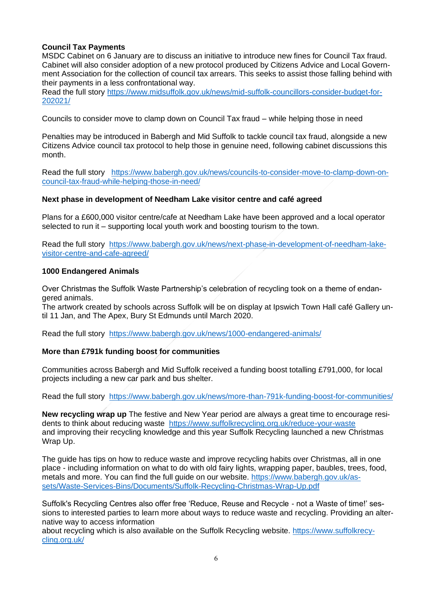#### **Council Tax Payments**

MSDC Cabinet on 6 January are to discuss an initiative to introduce new fines for Council Tax fraud. Cabinet will also consider adoption of a new protocol produced by Citizens Advice and Local Government Association for the collection of council tax arrears. This seeks to assist those falling behind with their payments in a less confrontational way.

Read the full story [https://www.midsuffolk.gov.uk/news/mid-suffolk-councillors-consider-budget-for-](https://www.midsuffolk.gov.uk/news/mid-suffolk-councillors-consider-budget-for-202021/)[202021/](https://www.midsuffolk.gov.uk/news/mid-suffolk-councillors-consider-budget-for-202021/)

Councils to consider move to clamp down on Council Tax fraud – while helping those in need

Penalties may be introduced in Babergh and Mid Suffolk to tackle council tax fraud, alongside a new Citizens Advice council tax protocol to help those in genuine need, following cabinet discussions this month.

Read the full story [https://www.babergh.gov.uk/news/councils-to-consider-move-to-clamp-down-on](https://www.babergh.gov.uk/news/councils-to-consider-move-to-clamp-down-on-council-tax-fraud-while-helping-those-in-need/)[council-tax-fraud-while-helping-those-in-need/](https://www.babergh.gov.uk/news/councils-to-consider-move-to-clamp-down-on-council-tax-fraud-while-helping-those-in-need/)

#### **Next phase in development of Needham Lake visitor centre and café agreed**

Plans for a £600,000 visitor centre/cafe at Needham Lake have been approved and a local operator selected to run it – supporting local youth work and boosting tourism to the town.

Read the full story [https://www.babergh.gov.uk/news/next-phase-in-development-of-needham-lake](https://www.babergh.gov.uk/news/next-phase-in-development-of-needham-lake-visitor-centre-and-cafe-agreed/)[visitor-centre-and-cafe-agreed/](https://www.babergh.gov.uk/news/next-phase-in-development-of-needham-lake-visitor-centre-and-cafe-agreed/)

#### **1000 Endangered Animals**

Over Christmas the Suffolk Waste Partnership's celebration of recycling took on a theme of endangered animals.

The artwork created by schools across Suffolk will be on display at Ipswich Town Hall café Gallery until 11 Jan, and The Apex, Bury St Edmunds until March 2020.

Read the full story <https://www.babergh.gov.uk/news/1000-endangered-animals/>

#### **More than £791k funding boost for communities**

Communities across Babergh and Mid Suffolk received a funding boost totalling £791,000, for local projects including a new car park and bus shelter.

Read the full story <https://www.babergh.gov.uk/news/more-than-791k-funding-boost-for-communities/>

**New recycling wrap up** The festive and New Year period are always a great time to encourage residents to think about reducing waste <https://www.suffolkrecycling.org.uk/reduce-your-waste> and improving their recycling knowledge and this year Suffolk Recycling launched a new Christmas Wrap Up.

The guide has tips on how to reduce waste and improve recycling habits over Christmas, all in one place - including information on what to do with old fairy lights, wrapping paper, baubles, trees, food, metals and more. You can find the full guide on our website. [https://www.babergh.gov.uk/as](https://www.babergh.gov.uk/assets/Waste-Services-Bins/Documents/Suffolk-Recycling-Christmas-Wrap-Up.pdf)[sets/Waste-Services-Bins/Documents/Suffolk-Recycling-Christmas-Wrap-Up.pdf](https://www.babergh.gov.uk/assets/Waste-Services-Bins/Documents/Suffolk-Recycling-Christmas-Wrap-Up.pdf)

Suffolk's Recycling Centres also offer free 'Reduce, Reuse and Recycle - not a Waste of time!' sessions to interested parties to learn more about ways to reduce waste and recycling. Providing an alternative way to access information

about recycling which is also available on the Suffolk Recycling website. [https://www.suffolkrecy](https://www.suffolkrecycling.org.uk/)[cling.org.uk/](https://www.suffolkrecycling.org.uk/)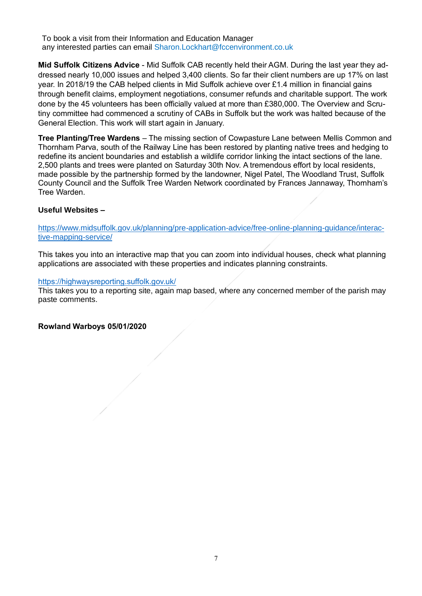To book a visit from their Information and Education Manager any interested parties can email Sharon.Lockhart@fccenvironment.co.uk

**Mid Suffolk Citizens Advice** - Mid Suffolk CAB recently held their AGM. During the last year they addressed nearly 10,000 issues and helped 3,400 clients. So far their client numbers are up 17% on last year. In 2018/19 the CAB helped clients in Mid Suffolk achieve over £1.4 million in financial gains through benefit claims, employment negotiations, consumer refunds and charitable support. The work done by the 45 volunteers has been officially valued at more than £380,000. The Overview and Scrutiny committee had commenced a scrutiny of CABs in Suffolk but the work was halted because of the General Election. This work will start again in January.

**Tree Planting/Tree Wardens** – The missing section of Cowpasture Lane between Mellis Common and Thornham Parva, south of the Railway Line has been restored by planting native trees and hedging to redefine its ancient boundaries and establish a wildlife corridor linking the intact sections of the lane. 2,500 plants and trees were planted on Saturday 30th Nov. A tremendous effort by local residents, made possible by the partnership formed by the landowner, Nigel Patel, The Woodland Trust, Suffolk County Council and the Suffolk Tree Warden Network coordinated by Frances Jannaway, Thornham's Tree Warden.

#### **Useful Websites –**

[https://www.midsuffolk.gov.uk/planning/pre-application-advice/free-online-planning-guidance/interac](https://www.midsuffolk.gov.uk/planning/pre-application-advice/free-online-planning-guidance/interactive-mapping-service/)[tive-mapping-service/](https://www.midsuffolk.gov.uk/planning/pre-application-advice/free-online-planning-guidance/interactive-mapping-service/)

This takes you into an interactive map that you can zoom into individual houses, check what planning applications are associated with these properties and indicates planning constraints.

#### <https://highwaysreporting.suffolk.gov.uk/>

This takes you to a reporting site, again map based, where any concerned member of the parish may paste comments.

#### **Rowland Warboys 05/01/2020**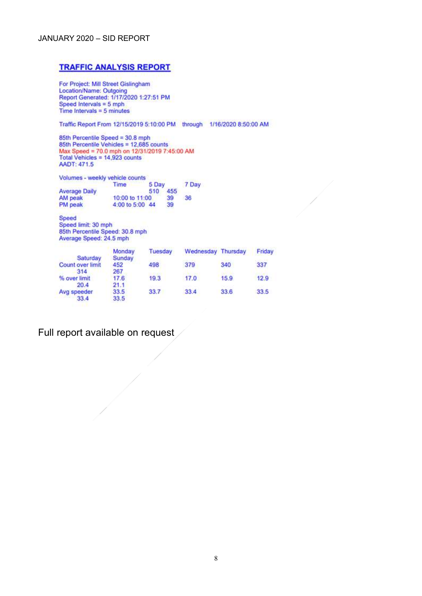#### JANUARY 2020 – SID REPORT

#### **TRAFFIC ANALYSIS REPORT**

For Project: Mill Street Gislingham<br>Location/Name: Outgoing Report Generated: 1/17/2020 1:27:51 PM Speed Intervals =  $5 \text{ mph}$ Time Intervals =  $5$  minutes

Traffic Report From 12/15/2019 5:10:00 PM through 1/16/2020 8:50:00 AM

85th Percentile Speed = 30.8 mph 85th Percentile Vehicles = 12,685 counts Max Speed = 70.0 mph on 12/31/2019 7:45:00 AM Total Vehicles = 14,923 counts AADT: 471.5

Volumes - weekly vehicle counts 5 Day<br>510 455 Time 7 Day **Average Daily** AM peak<br>PM peak 10:00 to 11:00 39 36 4:00 to 5:00 44 39

Speed Speed limit: 30 mph 85th Percentile Speed: 30.8 mph<br>Average Speed: 24.5 mph

| Saturday            | Monday<br>Sunday | <b>Tuesday</b> | Wednesday Thursday |      | Friday |
|---------------------|------------------|----------------|--------------------|------|--------|
| Count over limit    | 452              | 498            | 379                | 340  | 337    |
| 314<br>% over limit | 267<br>17.6      | 19.3           | 17.0               | 15.9 | 12.9   |
| 20.4                | 21.1             |                |                    |      |        |
| Avg speeder<br>33.4 | 33.5<br>33.5     | 33.7           | 33.4               | 33.6 | 33.5   |

Full report available on request /

 $\frac{1}{\sqrt{2\pi}}\int_0^1\frac{1}{\sqrt{2\pi}}\left(\frac{1}{2}\right)^2\left(\frac{1}{2}\right)^2\left(\frac{1}{2}\right)^2\left(\frac{1}{2}\right)^2\left(\frac{1}{2}\right)^2\left(\frac{1}{2}\right)^2\left(\frac{1}{2}\right)^2\left(\frac{1}{2}\right)^2\left(\frac{1}{2}\right)^2\left(\frac{1}{2}\right)^2\left(\frac{1}{2}\right)^2\left(\frac{1}{2}\right)^2\left(\frac{1}{2}\right)^2\left(\frac{1}{2}\right)^2\left(\frac{1}{2}\right)^2\left(\frac{1}{2}\right$